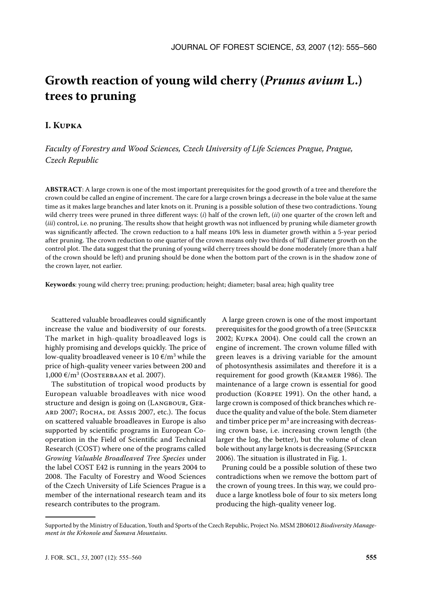# **Growth reaction of young wild cherry (***Prunus avium* **L.) trees to pruning**

## **I. Kupka**

*Faculty of Forestry and Wood Sciences, Czech University of Life Sciences Prague, Prague, Czech Republic*

**ABSTRACT**: A large crown is one of the most important prerequisites for the good growth of a tree and therefore the crown could be called an engine of increment. The care for a large crown brings a decrease in the bole value at the same time as it makes large branches and later knots on it. Pruning is a possible solution of these two contradictions. Young wild cherry trees were pruned in three different ways: (*i*) half of the crown left, (*ii*) one quarter of the crown left and (*iii*) control, i.e. no pruning. The results show that height growth was not influenced by pruning while diameter growth was significantly affected. The crown reduction to a half means 10% less in diameter growth within a 5-year period after pruning. The crown reduction to one quarter of the crown means only two thirds of 'full' diameter growth on the control plot. The data suggest that the pruning of young wild cherry trees should be done moderately (more than a half of the crown should be left) and pruning should be done when the bottom part of the crown is in the shadow zone of the crown layer, not earlier.

**Keywords**: young wild cherry tree; pruning; production; height; diameter; basal area; high quality tree

Scattered valuable broadleaves could significantly increase the value and biodiversity of our forests. The market in high-quality broadleaved logs is highly promising and develops quickly. The price of low-quality broadleaved veneer is  $10 \, \epsilon/\text{m}^3$  while the price of high-quality veneer varies between 200 and  $1,000 \text{ €/m}^3$  (Oosterbaan et al. 2007).

The substitution of tropical wood products by European valuable broadleaves with nice wood structure and design is going on (LANGBOUR, GERard 2007; Rocha, de Assis 2007, etc.). The focus on scattered valuable broadleaves in Europe is also supported by scientific programs in European Cooperation in the Field of Scientific and Technical Research (COST) where one of the programs called *Growing Valuable Broadleaved Tree Species* under the label COST E42 is running in the years 2004 to 2008. The Faculty of Forestry and Wood Sciences of the Czech University of Life Sciences Prague is a member of the international research team and its research contributes to the program.

A large green crown is one of the most important prerequisites for the good growth of a tree (Spiecker 2002; Kupka 2004). One could call the crown an engine of increment. The crown volume filled with green leaves is a driving variable for the amount of photosynthesis assimilates and therefore it is a requirement for good growth (Kramer 1986). The maintenance of a large crown is essential for good production (Korpeľ 1991). On the other hand, a large crown is composed of thick branches which reduce the quality and value of the bole. Stem diameter and timber price per  $m^3$  are increasing with decreasing crown base, i.e. increasing crown length (the larger the log, the better), but the volume of clean bole without any large knots is decreasing (SPIECKER 2006). The situation is illustrated in Fig. 1.

Pruning could be a possible solution of these two contradictions when we remove the bottom part of the crown of young trees. In this way, we could produce a large knotless bole of four to six meters long producing the high-quality veneer log.

Supported by the Ministry of Education, Youth and Sports of the Czech Republic, Project No. MSM 2B06012 *Biodiversity Management in the Krkonoše and Šumava Mountains*.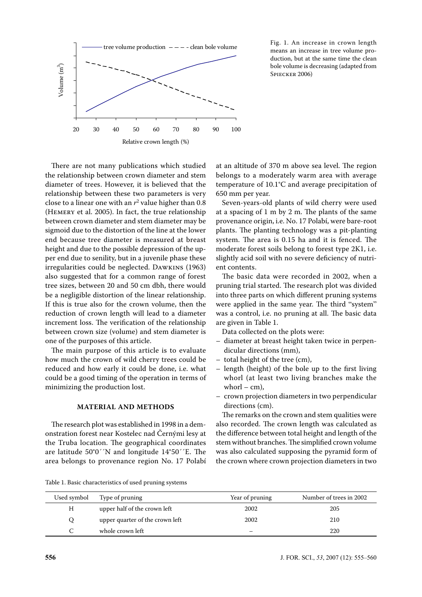

Fig. 1. An increase in crown length means an increase in tree volume production, but at the same time the clean bole volume is decreasing (adapted from SPIECKER 2006)

There are not many publications which studied the relationship between crown diameter and stem diameter of trees. However, it is believed that the relationship between these two parameters is very close to a linear one with an  $r^2$  value higher than  $0.8$ (Hemery et al. 2005). In fact, the true relationship between crown diameter and stem diameter may be sigmoid due to the distortion of the line at the lower end because tree diameter is measured at breast height and due to the possible depression of the upper end due to senility, but in a juvenile phase these irregularities could be neglected. Dawkins (1963) also suggested that for a common range of forest tree sizes, between 20 and 50 cm dbh, there would be a negligible distortion of the linear relationship. If this is true also for the crown volume, then the reduction of crown length will lead to a diameter increment loss. The verification of the relationship between crown size (volume) and stem diameter is one of the purposes of this article.

The main purpose of this article is to evaluate how much the crown of wild cherry trees could be reduced and how early it could be done, i.e. what could be a good timing of the operation in terms of minimizing the production lost.

### **MATERIAL AND METHODS**

The research plot was established in 1998 in a demonstration forest near Kostelec nad Černými lesy at the Truba location. The geographical coordinates are latitude 50°0´´N and longitude 14°50´´E. The area belongs to provenance region No. 17 Polabí

at an altitude of 370 m above sea level. The region belongs to a moderately warm area with average temperature of 10.1°C and average precipitation of 650 mm per year.

Seven-years-old plants of wild cherry were used at a spacing of 1 m by 2 m. The plants of the same provenance origin, i.e. No. 17 Polabí, were bare-root plants. The planting technology was a pit-planting system. The area is 0.15 ha and it is fenced. The moderate forest soils belong to forest type 2K1, i.e. slightly acid soil with no severe deficiency of nutrient contents.

The basic data were recorded in 2002, when a pruning trial started. The research plot was divided into three parts on which different pruning systems were applied in the same year. The third "system" was a control, i.e. no pruning at all. The basic data are given in Table 1.

Data collected on the plots were:

- diameter at breast height taken twice in perpendicular directions (mm),
- total height of the tree (cm),
- length (height) of the bole up to the first living whorl (at least two living branches make the whorl –  $cm$ ),
- crown projection diameters in two perpendicular directions (cm).

The remarks on the crown and stem qualities were also recorded. The crown length was calculated as the difference between total height and length of the stem without branches. The simplified crown volume was also calculated supposing the pyramid form of the crown where crown projection diameters in two

Table 1. Basic characteristics of used pruning systems

| Used symbol | Type of pruning                 | Year of pruning | Number of trees in 2002 |
|-------------|---------------------------------|-----------------|-------------------------|
| Η           | upper half of the crown left    | 2002            | 205                     |
|             | upper quarter of the crown left | 2002            | 210                     |
|             | whole crown left                |                 | 220                     |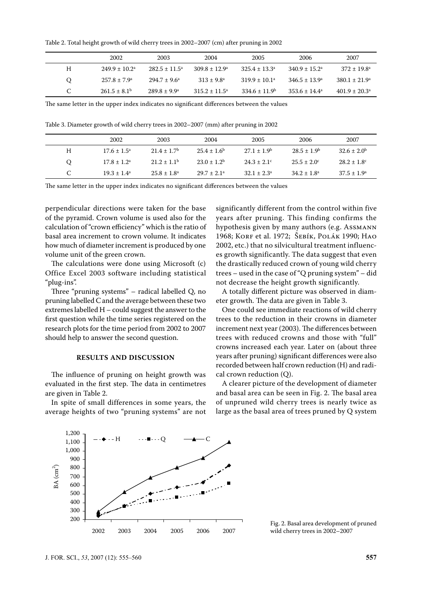Table 2. Total height growth of wild cherry trees in 2002–2007 (cm) after pruning in 2002

|         | 2002                        | 2003                     | 2004                     | 2005                     | 2006                     | 2007                     |
|---------|-----------------------------|--------------------------|--------------------------|--------------------------|--------------------------|--------------------------|
| H       | $249.9 \pm 10.2^{\text{a}}$ | $282.5 \pm 11.5^{\circ}$ | $309.8 \pm 12.9^{\circ}$ | $325.4 \pm 13.3^{\circ}$ | $340.9 \pm 15.2^{\circ}$ | $372 \pm 19.8^{\circ}$   |
| $\circ$ | $257.8 \pm 7.9^{\circ}$     | $294.7 \pm 9.6^{\circ}$  | $313 + 9.8^a$            | $319.9 \pm 10.1^{\circ}$ | $346.5 \pm 13.9^{\circ}$ | $380.1 \pm 21.9^{\circ}$ |
| C       | $261.5 \pm 8.1^{\circ}$     | $289.8 \pm 9.9^{\circ}$  | $315.2 \pm 11.5^{\circ}$ | $334.6 \pm 11.9^b$       | $353.6 \pm 14.4^a$       | $401.9 \pm 20.3^{\circ}$ |

The same letter in the upper index indicates no significant differences between the values

Table 3. Diameter growth of wild cherry trees in 2002–2007 (mm) after pruning in 2002

|          | 2002                   | 2003                        | 2004                   | 2005                   | 2006                   | 2007                        |
|----------|------------------------|-----------------------------|------------------------|------------------------|------------------------|-----------------------------|
| H        | $17.6 \pm 1.5^{\circ}$ | $21.4 \pm 1.7$ <sup>b</sup> | $25.4 \pm 1.6^b$       | $27.1 \pm 1.9^b$       | $28.5 \pm 1.9^{\rm b}$ | $32.6 \pm 2.0^{\rm b}$      |
| $\Omega$ | $17.8 \pm 1.2^{\circ}$ | $21.2 \pm 1.1^{\circ}$      | $23.0 \pm 1.2^b$       | $24.3 \pm 2.1^{\circ}$ | $25.5 \pm 2.0^{\circ}$ | $28.2 \pm 1.8$ <sup>c</sup> |
| C        | $19.3 \pm 1.4^a$       | $25.8 \pm 1.8^{\circ}$      | $29.7 \pm 2.1^{\circ}$ | $32.1 \pm 2.3^{\circ}$ | $34.2 \pm 1.8^a$       | $37.5 \pm 1.9^{\circ}$      |

The same letter in the upper index indicates no significant differences between the values

perpendicular directions were taken for the base of the pyramid. Crown volume is used also for the calculation of "crown efficiency" which is the ratio of basal area increment to crown volume. It indicates how much of diameter increment is produced by one volume unit of the green crown.

The calculations were done using Microsoft (c) Office Excel 2003 software including statistical "plug-ins".

Three "pruning systems" – radical labelled Q, no pruning labelled C and the average between these two extremes labelled H – could suggest the answer to the first question while the time series registered on the research plots for the time period from 2002 to 2007 should help to answer the second question.

#### **RESULTS AND DISCUSSION**

The influence of pruning on height growth was  $\Gamma$ evaluated in the first step. The data in centimetres are given in Table 2. 400  $\overline{1}$ BA (cm2

In spite of small differences in some years, the average heights of two "pruning systems" are not

significantly different from the control within five years after pruning. This finding confirms the hypothesis given by many authors (e.g. Assmann 1968; Korf et al. 1972; Šebík, Polák 1990; Hao 2002, etc.) that no silvicultural treatment influences growth significantly. The data suggest that even the drastically reduced crown of young wild cherry trees – used in the case of "Q pruning system" – did not decrease the height growth significantly.

A totally different picture was observed in diameter growth. The data are given in Table 3.

One could see immediate reactions of wild cherry trees to the reduction in their crowns in diameter increment next year (2003). The differences between trees with reduced crowns and those with "full" crowns increased each year. Later on (about three years after pruning) significant differences were also recorded between half crown reduction (H) and radical crown reduction (Q).

A clearer picture of the development of diameter and basal area can be seen in Fig. 2. The basal area of unpruned wild cherry trees is nearly twice as large as the basal area of trees pruned by Q system



Fig. 2. Basal area development of pruned wild cherry trees in 2002–2007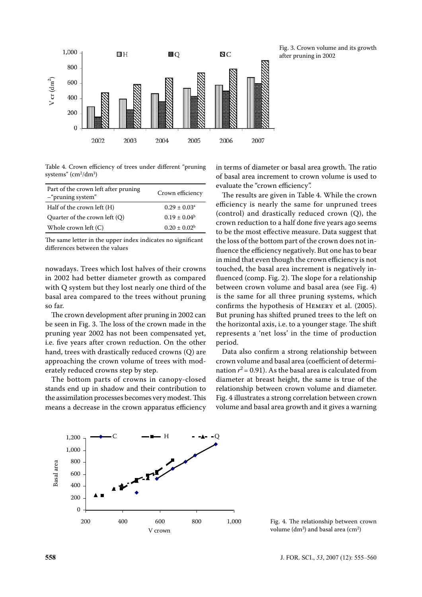

Table 4. Crown efficiency of trees under different "pruning systems" (cm<sup>2</sup>/dm<sup>3</sup>)

| Part of the crown left after pruning<br>$-$ "pruning system" | Crown efficiency           |
|--------------------------------------------------------------|----------------------------|
| Half of the crown left (H)                                   | $0.29 \pm 0.03^{\text{a}}$ |
| Quarter of the crown left $(Q)$                              | $0.19 \pm 0.04^b$          |
| Whole crown left $(C)$                                       | $0.20 \pm 0.02^b$          |

The same letter in the upper index indicates no significant differences between the values

nowadays. Trees which lost halves of their crowns in 2002 had better diameter growth as compared with Q system but they lost nearly one third of the basal area compared to the trees without pruning so far.

The crown development after pruning in 2002 can be seen in Fig. 3. The loss of the crown made in the pruning year 2002 has not been compensated yet, i.e. five years after crown reduction. On the other hand, trees with drastically reduced crowns (Q) are approaching the crown volume of trees with moderately reduced crowns step by step. 600 rd<br>el<br>h

The bottom parts of crowns in canopy-closed stands end up in shadow and their contribution to the assimilation processes becomes very modest. This means a decrease in the crown apparatus efficiency in terms of diameter or basal area growth. The ratio of basal area increment to crown volume is used to evaluate the "crown efficiency".

The results are given in Table 4. While the crown efficiency is nearly the same for unpruned trees (control) and drastically reduced crown (Q), the crown reduction to a half done five years ago seems to be the most effective measure. Data suggest that the loss of the bottom part of the crown does not influence the efficiency negatively. But one has to bear in mind that even though the crown efficiency is not touched, the basal area increment is negatively influenced (comp. Fig. 2). The slope for a relationship between crown volume and basal area (see Fig. 4) is the same for all three pruning systems, which confirms the hypothesis of Hemery et al. (2005). But pruning has shifted pruned trees to the left on the horizontal axis, i.e. to a younger stage. The shift represents a 'net loss' in the time of production period.

Data also confirm a strong relationship between crown volume and basal area (coefficient of determination  $r^2$  = 0.91). As the basal area is calculated from diameter at breast height, the same is true of the relationship between crown volume and diameter. Fig. 4 illustrates a strong correlation between crown volume and basal area growth and it gives a warning



Fig. 4. The relationship between crown volume  $(dm^3)$  and basal area  $(cm^2)$ 

Fig. 3. Crown volume and its growth after pruning in 2002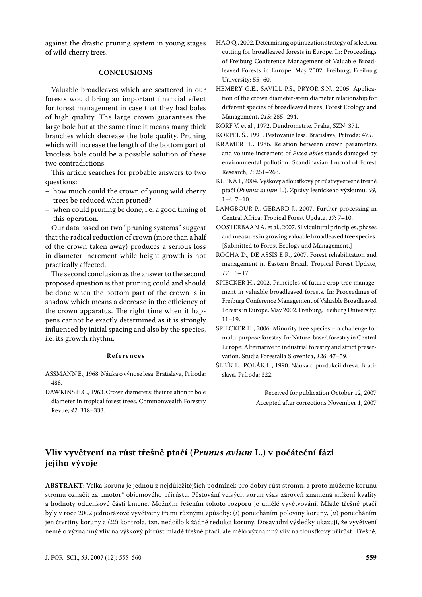against the drastic pruning system in young stages of wild cherry trees.

#### **CONCLUSIONS**

Valuable broadleaves which are scattered in our forests would bring an important financial effect for forest management in case that they had boles of high quality. The large crown guarantees the large bole but at the same time it means many thick branches which decrease the bole quality. Pruning which will increase the length of the bottom part of knotless bole could be a possible solution of these two contradictions.

This article searches for probable answers to two questions:

- how much could the crown of young wild cherry trees be reduced when pruned?
- when could pruning be done, i.e. a good timing of this operation.

Our data based on two "pruning systems" suggest that the radical reduction of crown (more than a half of the crown taken away) produces a serious loss in diameter increment while height growth is not practically affected.

The second conclusion as the answer to the second proposed question is that pruning could and should be done when the bottom part of the crown is in shadow which means a decrease in the efficiency of the crown apparatus. The right time when it happens cannot be exactly determined as it is strongly influenced by initial spacing and also by the species, i.e. its growth rhythm.

#### **R e f e r e n c e s**

- ASSMANN E., 1968. Náuka o výnose lesa. Bratislava, Príroda: 488.
- DAWKINS H.C., 1963. Crown diameters: their relation to bole diameter in tropical forest trees. Commonwealth Forestry Revue, *42*: 318–333.
- HAO Q., 2002. Determining optimization strategy of selection cutting for broadleaved forests in Europe. In: Proceedings of Freiburg Conference Management of Valuable Broadleaved Forests in Europe, May 2002. Freiburg, Freiburg University: 55–60.
- HEMERY G.E., SAVILL P.S., PRYOR S.N., 2005. Application of the crown diameter-stem diameter relationship for different species of broadleaved trees. Forest Ecology and Management, *215*: 285–294.
- KORF V. et al., 1972. Dendrometrie. Praha, SZN: 371.
- KORPEĽ Š., 1991. Pestovanie lesa. Bratislava, Príroda: 475.
- KRAMER H., 1986. Relation between crown parameters and volume increment of *Picea abies* stands damaged by environmental pollution. Scandinavian Journal of Forest Research, *1*: 251–263.
- KUPKA I., 2004. Výškový a tloušťkový přírůst vyvětvené třešně ptačí (*Prunus avium* L.). Zprávy lesnického výzkumu, *49*, 1**–**4: 7–10.
- LANGBOUR P., GERARD J., 2007. Further processing in Central Africa. Tropical Forest Update, *17*: 7–10.
- OOSTERBAAN A. et al., 2007. Silvicultural principles, phases and measures in growing valuable broadleaved tree species. [Submitted to Forest Ecology and Management.]
- ROCHA D., DE ASSIS E.R., 2007. Forest rehabilitation and management in Eastern Brazil. Tropical Forest Update, *17*: 15–17.
- SPIECKER H., 2002. Principles of future crop tree management in valuable broadleaved forests. In: Proceedings of Freiburg Conference Management of Valuable Broadleaved Forests in Europe, May 2002. Freiburg, Freiburg University: 11–19.
- SPIECKER H., 2006. Minority tree species a challenge for multi-purpose forestry. In: Nature-based forestry in Central Europe: Alternative to industrial forestry and strict preservation. Studia Forestalia Slovenica, *126*: 47–59.
- ŠEBÍK L., POLÁK L., 1990. Náuka o produkcii dreva. Bratislava, Príroda: 322.

Received for publication October 12, 2007 Accepted after corrections November 1, 2007

## **Vliv vyvětvení na růst třešně ptačí (***Prunus avium* **L.) v počáteční fázi jejího vývoje**

**ABSTRAKT**: Velká koruna je jednou z nejdůležitějších podmínek pro dobrý růst stromu, a proto můžeme korunu stromu označit za "motor" objemového přírůstu. Pěstování velkých korun však zároveň znamená snížení kvality a hodnoty oddenkové části kmene. Možným řešením tohoto rozporu je umělé vyvětvování. Mladé třešně ptačí byly v roce 2002 jednorázově vyvětveny třemi různými způsoby: (*i*) ponecháním poloviny koruny, (*ii*) ponecháním jen čtvrtiny koruny a (*iii*) kontrola, tzn. nedošlo k žádné redukci koruny. Dosavadní výsledky ukazují, že vyvětvení nemělo významný vliv na výškový přírůst mladé třešně ptačí, ale mělo významný vliv na tloušťkový přírůst. Třešně,